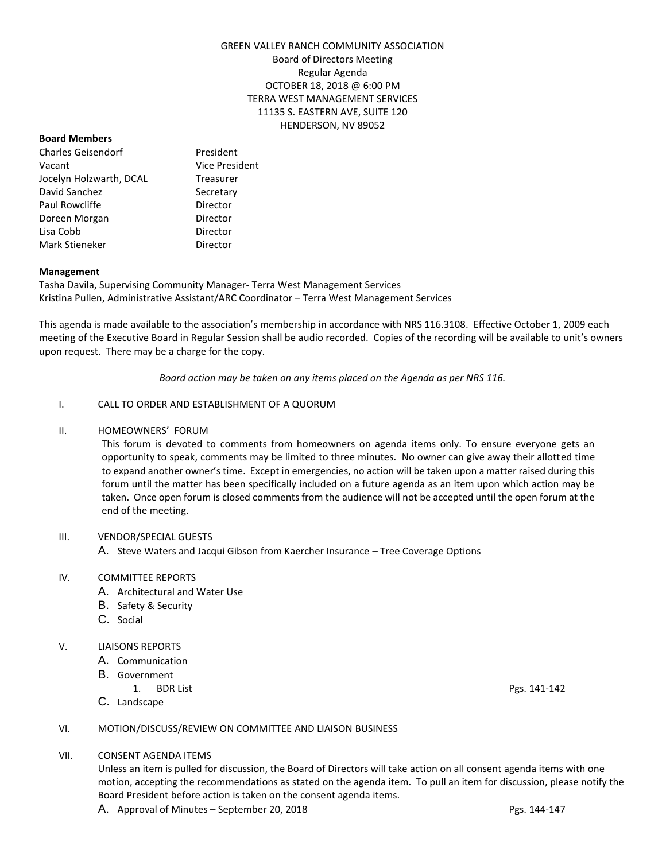# GREEN VALLEY RANCH COMMUNITY ASSOCIATION Board of Directors Meeting Regular Agenda OCTOBER 18, 2018 @ 6:00 PM TERRA WEST MANAGEMENT SERVICES 11135 S. EASTERN AVE, SUITE 120 HENDERSON, NV 89052

#### **Board Members**

Charles Geisendorf President Vacant Vice President Jocelyn Holzwarth, DCAL Treasurer David Sanchez Secretary Paul Rowcliffe **Director** Doreen Morgan **Director** Lisa Cobb Director Mark Stieneker **Director** 

#### **Management**

Tasha Davila, Supervising Community Manager- Terra West Management Services Kristina Pullen, Administrative Assistant/ARC Coordinator – Terra West Management Services

This agenda is made available to the association's membership in accordance with NRS 116.3108. Effective October 1, 2009 each meeting of the Executive Board in Regular Session shall be audio recorded. Copies of the recording will be available to unit's owners upon request. There may be a charge for the copy.

*Board action may be taken on any items placed on the Agenda as per NRS 116.*

#### I. CALL TO ORDER AND ESTABLISHMENT OF A QUORUM

#### II. HOMEOWNERS' FORUM

This forum is devoted to comments from homeowners on agenda items only. To ensure everyone gets an opportunity to speak, comments may be limited to three minutes. No owner can give away their allotted time to expand another owner's time. Except in emergencies, no action will be taken upon a matter raised during this forum until the matter has been specifically included on a future agenda as an item upon which action may be taken. Once open forum is closed comments from the audience will not be accepted until the open forum at the end of the meeting.

# III. VENDOR/SPECIAL GUESTS

A. Steve Waters and Jacqui Gibson from Kaercher Insurance – Tree Coverage Options

# IV. COMMITTEE REPORTS

- A. Architectural and Water Use
- B. Safety & Security
- C. Social

# V. LIAISONS REPORTS

- A. Communication
- B. Government
	- 1. BDR List Pgs. 141-142
- C. Landscape

# VI. MOTION/DISCUSS/REVIEW ON COMMITTEE AND LIAISON BUSINESS

#### VII. CONSENT AGENDA ITEMS

Unless an item is pulled for discussion, the Board of Directors will take action on all consent agenda items with one motion, accepting the recommendations as stated on the agenda item. To pull an item for discussion, please notify the Board President before action is taken on the consent agenda items.

A. Approval of Minutes – September 20, 2018 Pgs. 144-147